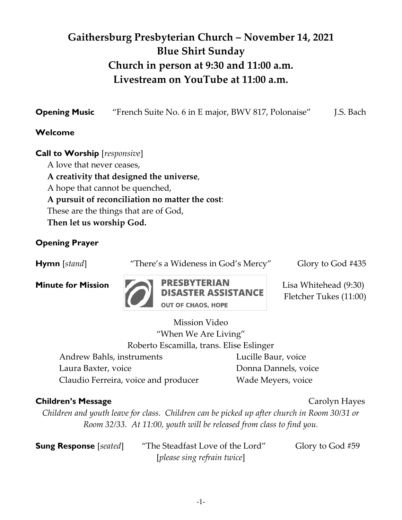# **Gaithersburg Presbyterian Church – November 14, 2021 Blue Shirt Sunday Church in person at 9:30 and 11:00 a.m. Livestream on YouTube at 11:00 a.m.**

| <b>Opening Music</b> | "French Suite No. 6 in E major, BWV 817, Polonaise" | J.S. Bach |
|----------------------|-----------------------------------------------------|-----------|
| Welcome              |                                                     |           |

**Call to Worship** [*responsive*] A love that never ceases, **A creativity that designed the universe**, A hope that cannot be quenched, **A pursuit of reconciliation no matter the cost**: These are the things that are of God, **Then let us worship God.**

### **Opening Prayer**

**Hymn** [*stand*] "There's a Wideness in God's Mercy" Glory to God #435



Fletcher Tukes (11:00)

Mission Video "When We Are Living" Roberto Escamilla, trans. Elise Eslinger

Andrew Bahls, instruments Lucille Baur, voice Laura Baxter, voice Donna Dannels, voice Claudio Ferreira, voice and producer Wade Meyers, voice

#### **Children's Message Children's Message** *Carolyn* Hayes

*Children and youth leave for class. Children can be picked up after church in Room 30/31 or Room 32/33. At 11:00, youth will be released from class to find you.* 

**Sung Response** [*seated*] "The Steadfast Love of the Lord" Glory to God #59 [*please sing refrain twice*]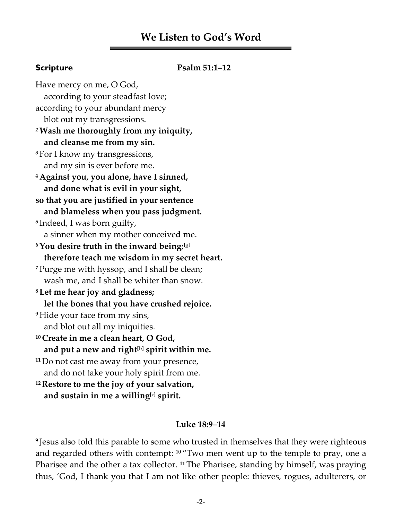## **We Listen to God's Word**

#### **Scripture Psalm 51:1–12**

Have mercy on me, O God, according to your steadfast love; according to your abundant mercy blot out my transgressions. **<sup>2</sup>Wash me thoroughly from my iniquity, and cleanse me from my sin. <sup>3</sup>** For I know my transgressions, and my sin is ever before me. **<sup>4</sup> Against you, you alone, have I sinned, and done what is evil in your sight, so that you are justified in your sentence and blameless when you pass judgment. 5** Indeed, I was born guilty, a sinner when my mother conceived me. **<sup>6</sup>You desire truth in the inward being;[\[a\]](https://www.biblegateway.com/passage/?search=Psalm+51&version=NRSV#fen-NRSV-14698a) therefore teach me wisdom in my secret heart. <sup>7</sup>** Purge me with hyssop, and I shall be clean; wash me, and I shall be whiter than snow. **<sup>8</sup> Let me hear joy and gladness; let the bones that you have crushed rejoice. <sup>9</sup>** Hide your face from my sins, and blot out all my iniquities. **<sup>10</sup> Create in me a clean heart, O God, and put a new and right[\[b\]](https://www.biblegateway.com/passage/?search=Psalm+51&version=NRSV#fen-NRSV-14702b) spirit within me. <sup>11</sup>**Do not cast me away from your presence, and do not take your holy spirit from me. **<sup>12</sup> Restore to me the joy of your salvation, and sustain in me a willing[\[c\]](https://www.biblegateway.com/passage/?search=Psalm+51&version=NRSV#fen-NRSV-14704c) spirit.**

#### **Luke 18:9–14**

**9** Jesus also told this parable to some who trusted in themselves that they were righteous and regarded others with contempt: **<sup>10</sup>** "Two men went up to the temple to pray, one a Pharisee and the other a tax collector. **<sup>11</sup>** The Pharisee, standing by himself, was praying thus, 'God, I thank you that I am not like other people: thieves, rogues, adulterers, or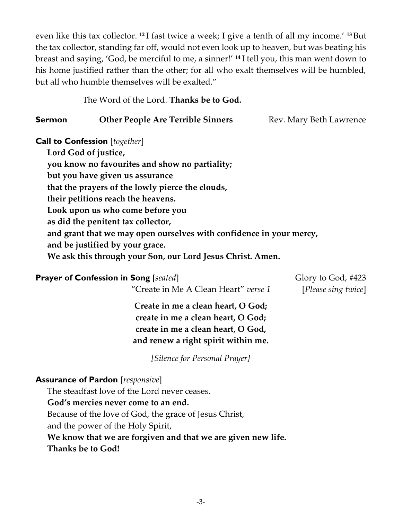even like this tax collector. **<sup>12</sup>** I fast twice a week; I give a tenth of all my income.' **<sup>13</sup>** But the tax collector, standing far off, would not even look up to heaven, but was beating his breast and saying, 'God, be merciful to me, a sinner!' **<sup>14</sup>** I tell you, this man went down to his home justified rather than the other; for all who exalt themselves will be humbled, but all who humble themselves will be exalted."

The Word of the Lord. **Thanks be to God.**

| Sermon | <b>Other People Are Terrible Sinners</b> | Rev. Mary Beth Lawrence |
|--------|------------------------------------------|-------------------------|
|--------|------------------------------------------|-------------------------|

**Call to Confession** [*together*]

**Lord God of justice, you know no favourites and show no partiality; but you have given us assurance that the prayers of the lowly pierce the clouds, their petitions reach the heavens. Look upon us who come before you as did the penitent tax collector, and grant that we may open ourselves with confidence in your mercy, and be justified by your grace. We ask this through your Son, our Lord Jesus Christ. Amen.**

## **Prayer of Confession in Song** [*seated*] Glory to God, #423

"Create in Me A Clean Heart" *verse 1* [*Please sing twice*]

**Create in me a clean heart, O God; create in me a clean heart, O God; create in me a clean heart, O God, and renew a right spirit within me.**

*[Silence for Personal Prayer]*

## **Assurance of Pardon** [*responsive*]

The steadfast love of the Lord never ceases.

#### **God's mercies never come to an end.**

Because of the love of God, the grace of Jesus Christ,

and the power of the Holy Spirit,

**We know that we are forgiven and that we are given new life.** 

#### **Thanks be to God!**